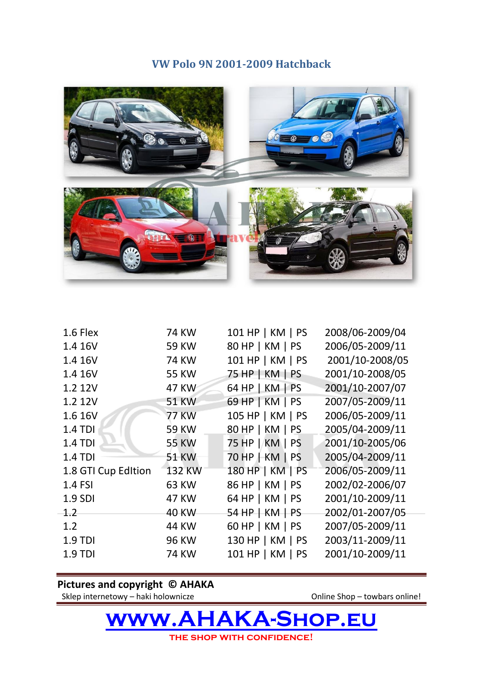## **VW Polo 9N 2001-2009 Hatchback**



| 1.6 Flex            | <b>74 KW</b> | 101 HP   KM   PS | 2008/06-2009/04 |
|---------------------|--------------|------------------|-----------------|
| 1.4 16V             | <b>59 KW</b> | 80 HP   KM   PS  | 2006/05-2009/11 |
| 1.4 16V             | <b>74 KW</b> | 101 HP   KM   PS | 2001/10-2008/05 |
| 1.4 16V             | <b>55 KW</b> | 75 HP   KM   PS  | 2001/10-2008/05 |
| 1.2 12V             | <b>47 KW</b> | 64 HP   KM   PS  | 2001/10-2007/07 |
| 1.2 12V             | <b>51 KW</b> | 69 HP   KM   PS  | 2007/05-2009/11 |
| 1.6 16V             | <b>77 KW</b> | 105 HP   KM   PS | 2006/05-2009/11 |
| 1.4 TDI             | <b>59 KW</b> | 80 HP   KM   PS  | 2005/04-2009/11 |
| <b>1.4 TDI</b>      | <b>55 KW</b> | 75 HP   KM   PS  | 2001/10-2005/06 |
| $1.4$ TDI           | <b>51 KW</b> | 70 HP   KM   PS  | 2005/04-2009/11 |
| 1.8 GTI Cup Edition | 132 KW       | 180 HP   KM   PS | 2006/05-2009/11 |
| 1.4 FSI             | <b>63 KW</b> | 86 HP   KM   PS  | 2002/02-2006/07 |
| 1.9 SDI             | <b>47 KW</b> | 64 HP   KM   PS  | 2001/10-2009/11 |
| 1.2                 | <b>40 KW</b> | 54 HP   KM   PS  | 2002/01-2007/05 |
| 1.2                 | <b>44 KW</b> | 60 HP   KM   PS  | 2007/05-2009/11 |
| <b>1.9 TDI</b>      | <b>96 KW</b> | 130 HP   KM   PS | 2003/11-2009/11 |
| 1.9 TDI             | <b>74 KW</b> | 101 HP   KM   PS | 2001/10-2009/11 |
|                     |              |                  |                 |

## **Pictures and copyright © AHAKA**

Sklep internetowy – haki holownicze **Online Shop – towbars online!** 

**[www.AHAKA-Shop.eu](http://www.ahaka-shop.eu/) the shop with confidence!**